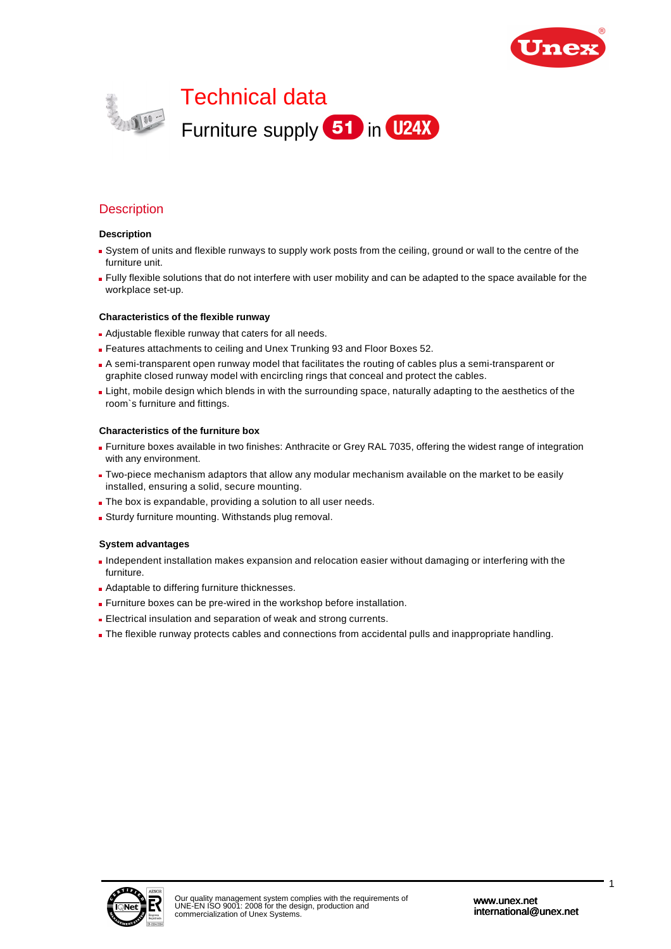



# **Description**

#### **Description**

- System of units and flexible runways to supply work posts from the ceiling, ground or wall to the centre of the furniture unit.
- Fully flexible solutions that do not interfere with user mobility and can be adapted to the space available for the workplace set-up.

#### **Characteristics of the flexible runway**

- **Adjustable flexible runway that caters for all needs.**
- Features attachments to ceiling and Unex Trunking 93 and Floor Boxes 52.
- A semi-transparent open runway model that facilitates the routing of cables plus a semi-transparent or graphite closed runway model with encircling rings that conceal and protect the cables.
- **Light, mobile design which blends in with the surrounding space, naturally adapting to the aesthetics of the** room`s furniture and fittings.

#### **Characteristics of the furniture box**

- Furniture boxes available in two finishes: Anthracite or Grey RAL 7035, offering the widest range of integration with any environment.
- Two-piece mechanism adaptors that allow any modular mechanism available on the market to be easily installed, ensuring a solid, secure mounting.
- The box is expandable, providing a solution to all user needs.
- Sturdy furniture mounting. Withstands plug removal.

#### **System advantages**

- Independent installation makes expansion and relocation easier without damaging or interfering with the furniture.
- **Adaptable to differing furniture thicknesses.**
- Furniture boxes can be pre-wired in the workshop before installation.
- Electrical insulation and separation of weak and strong currents.
- The flexible runway protects cables and connections from accidental pulls and inappropriate handling.

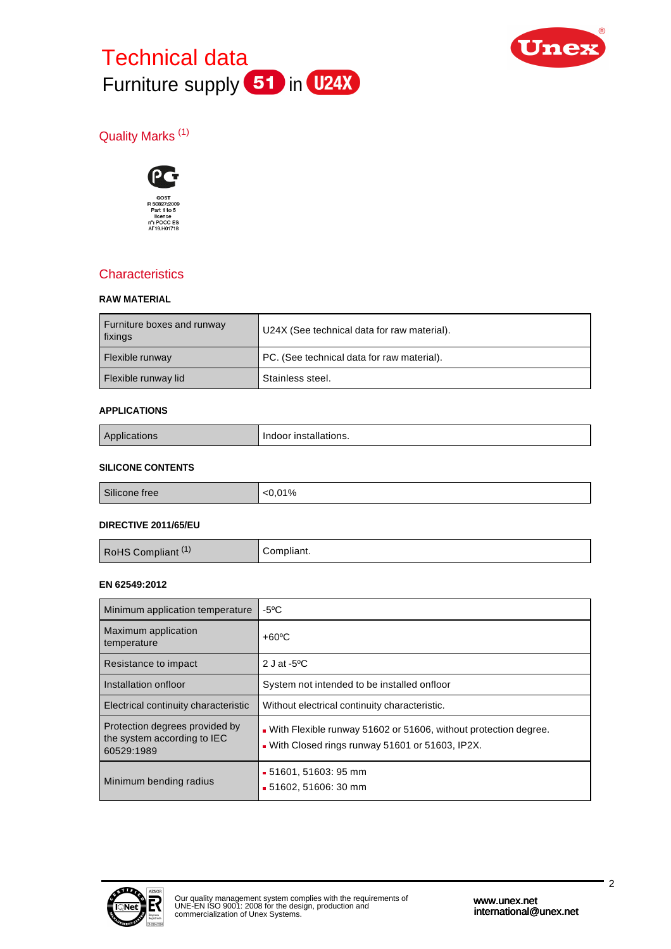# Technical data Furniture supply 51 in U24X



# Quality Marks (1)



# **Characteristics**

#### **RAW MATERIAL**

| Furniture boxes and runway<br>fixings | U24X (See technical data for raw material). |
|---------------------------------------|---------------------------------------------|
| Flexible runway                       | PC. (See technical data for raw material).  |
| Flexible runway lid                   | Stainless steel.                            |

#### **APPLICATIONS**

| טוז | .<br>-installations.<br>uoor |
|-----|------------------------------|
|-----|------------------------------|

#### **SILICONE CONTENTS**

| $\sim$<br>01%<br>Silicone free |  |
|--------------------------------|--|

#### **DIRECTIVE 2011/65/EU**

| RoHS Compliant <sup>(1)</sup> | Compliant. |
|-------------------------------|------------|
|                               |            |

#### **EN 62549:2012**

| Minimum application temperature                                             | $-5^{\circ}$ C                                                                                                        |
|-----------------------------------------------------------------------------|-----------------------------------------------------------------------------------------------------------------------|
| Maximum application<br>temperature                                          | $+60^{\circ}$ C                                                                                                       |
| Resistance to impact                                                        | 2 J at -5 $\mathrm{^{\circ}C}$                                                                                        |
| Installation onfloor                                                        | System not intended to be installed onfloor                                                                           |
| Electrical continuity characteristic                                        | Without electrical continuity characteristic.                                                                         |
| Protection degrees provided by<br>the system according to IEC<br>60529:1989 | . With Flexible runway 51602 or 51606, without protection degree.<br>. With Closed rings runway 51601 or 51603, IP2X. |
| Minimum bending radius                                                      | ■ 51601, 51603: 95 mm<br>■ 51602, 51606: 30 mm                                                                        |

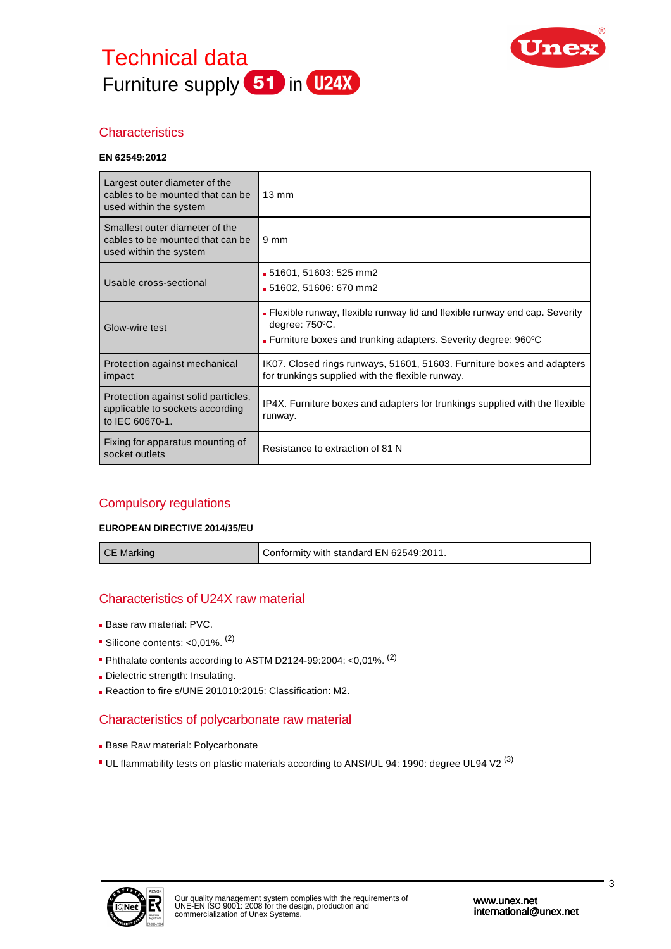



# **Characteristics**

#### **EN 62549:2012**

| Largest outer diameter of the<br>cables to be mounted that can be<br>used within the system  | $13 \text{ mm}$                                                                                                                                                   |
|----------------------------------------------------------------------------------------------|-------------------------------------------------------------------------------------------------------------------------------------------------------------------|
| Smallest outer diameter of the<br>cables to be mounted that can be<br>used within the system | $9 \text{ mm}$                                                                                                                                                    |
| Usable cross-sectional                                                                       | ■ 51601, 51603: 525 mm2<br>■ 51602, 51606: 670 mm2                                                                                                                |
| Glow-wire test                                                                               | • Flexible runway, flexible runway lid and flexible runway end cap. Severity<br>degree: 750°C.<br>• Furniture boxes and trunking adapters. Severity degree: 960°C |
| Protection against mechanical<br>impact                                                      | IK07. Closed rings runways, 51601, 51603. Furniture boxes and adapters<br>for trunkings supplied with the flexible runway.                                        |
| Protection against solid particles,<br>applicable to sockets according<br>to IEC 60670-1.    | IP4X. Furniture boxes and adapters for trunkings supplied with the flexible<br>runway.                                                                            |
| Fixing for apparatus mounting of<br>socket outlets                                           | Resistance to extraction of 81 N                                                                                                                                  |

# Compulsory regulations

#### **EUROPEAN DIRECTIVE 2014/35/EU**

CE Marking COME CONFORMITY With standard EN 62549:2011.

# Characteristics of U24X raw material

- Base raw material: PVC.
- Silicone contents: <0,01%. <sup>(2)</sup>
- Phthalate contents according to ASTM D2124-99:2004: <0,01%. (2)
- Dielectric strength: Insulating.
- Reaction to fire s/UNE 201010:2015: Classification: M2.

# Characteristics of polycarbonate raw material

- **Base Raw material: Polycarbonate**
- UL flammability tests on plastic materials according to ANSI/UL 94: 1990: degree UL94 V2<sup>(3)</sup>